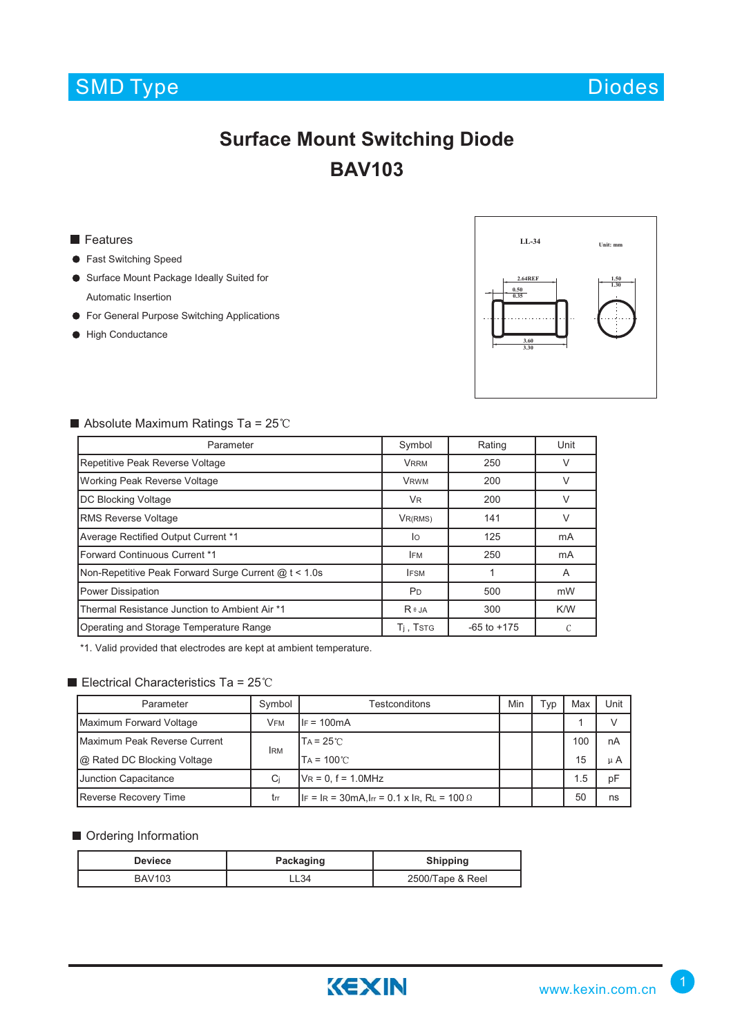## SMD Type Diodes and Diodes Diodes Diodes and Diodes Diodes and Diodes and Diodes Diodes and Diodes Diodes and Diodes

# **Surface Mount Switching Diode BAV103**

#### **Features**

- **•** Fast Switching Speed
- Surface Mount Package Ideally Suited for Automatic Insertion
- **•** For General Purpose Switching Applications
- **High Conductance**



#### Absolute Maximum Ratings Ta =  $25^{\circ}$ C

| Parameter                                            | Symbol                | Rating          | Unit   |  |
|------------------------------------------------------|-----------------------|-----------------|--------|--|
| Repetitive Peak Reverse Voltage                      | <b>VRRM</b>           | 250             | V      |  |
| <b>Working Peak Reverse Voltage</b>                  | <b>VRWM</b>           | 200             | $\vee$ |  |
| <b>DC Blocking Voltage</b>                           | V <sub>R</sub>        | 200             | $\vee$ |  |
| <b>RMS Reverse Voltage</b>                           | VR(RMS)               | 141             |        |  |
| Average Rectified Output Current *1                  | lo                    | 125             | mA     |  |
| Forward Continuous Current *1                        | <b>IFM</b>            | 250             | mA     |  |
| Non-Repetitive Peak Forward Surge Current @ t < 1.0s | <b>IFSM</b>           |                 | A      |  |
| <b>Power Dissipation</b>                             | P <sub>D</sub>        | 500             | mW     |  |
| Thermal Resistance Junction to Ambient Air *1        | $R \theta$ JA         | 300             | K/W    |  |
| Operating and Storage Temperature Range              | T <sub>i</sub> , Tstg | $-65$ to $+175$ |        |  |

\*1. Valid provided that electrodes are kept at ambient temperature.

## Electrical Characteristics Ta =  $25^{\circ}$ C

| Parameter                    | Symbol     | Testconditons                                                  | Min | Гур | Max | Unit    |
|------------------------------|------------|----------------------------------------------------------------|-----|-----|-----|---------|
| Maximum Forward Voltage      | <b>VFM</b> | $IF = 100mA$                                                   |     |     |     |         |
| Maximum Peak Reverse Current | <b>IRM</b> | $TA = 25^{\circ}$                                              |     |     | 100 | nA      |
| @ Rated DC Blocking Voltage  |            | $TA = 100^{\circ}$                                             |     |     | 15  | $\mu$ A |
| <b>Junction Capacitance</b>  | Ci         | $V_R = 0$ , f = 1.0MHz                                         |     |     | 1.5 | рF      |
| <b>Reverse Recovery Time</b> | trr        | $ F  =  R  = 30$ mA, $ F  = 0.1$ x $ R$ , $R_L = 100$ $\Omega$ |     |     | 50  | ns      |

#### **Ordering Information**

| <b>Deviece</b> | Packaging | <b>Shipping</b>  |
|----------------|-----------|------------------|
| <b>BAV103</b>  | L34-      | 2500/Tape & Reel |